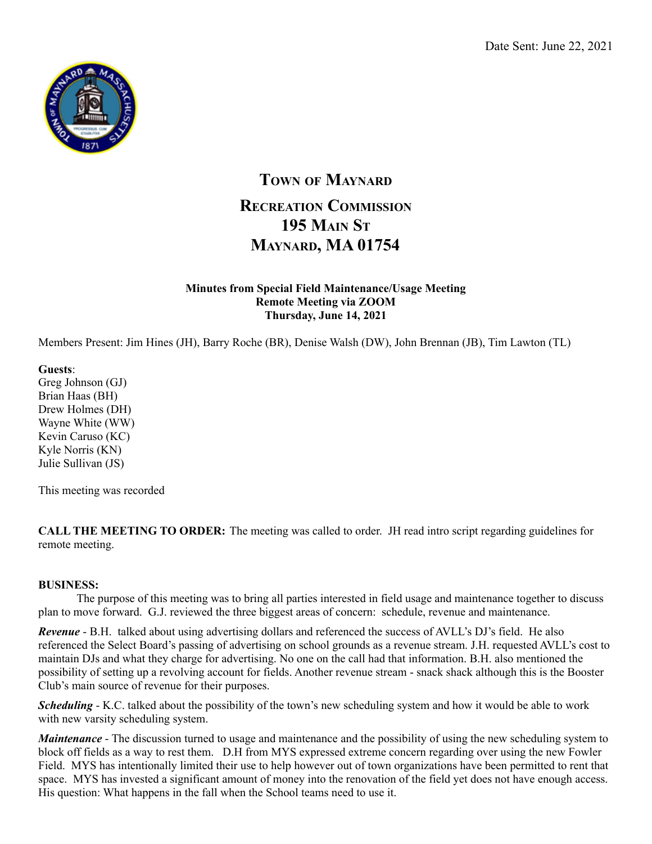

## **TOWN OF MAYNARD RECREATION COMMISSION 195 MAIN ST MAYNARD, MA 01754**

## **Minutes from Special Field Maintenance/Usage Meeting Remote Meeting via ZOOM Thursday, June 14, 2021**

Members Present: Jim Hines (JH), Barry Roche (BR), Denise Walsh (DW), John Brennan (JB), Tim Lawton (TL)

**Guests**:

Greg Johnson (GJ) Brian Haas (BH) Drew Holmes (DH) Wayne White (WW) Kevin Caruso (KC) Kyle Norris (KN) Julie Sullivan (JS)

This meeting was recorded

**CALL THE MEETING TO ORDER:** The meeting was called to order. JH read intro script regarding guidelines for remote meeting.

## **BUSINESS:**

The purpose of this meeting was to bring all parties interested in field usage and maintenance together to discuss plan to move forward. G.J. reviewed the three biggest areas of concern: schedule, revenue and maintenance.

*Revenue* - B.H. talked about using advertising dollars and referenced the success of AVLL's DJ's field. He also referenced the Select Board's passing of advertising on school grounds as a revenue stream. J.H. requested AVLL's cost to maintain DJs and what they charge for advertising. No one on the call had that information. B.H. also mentioned the possibility of setting up a revolving account for fields. Another revenue stream - snack shack although this is the Booster Club's main source of revenue for their purposes.

*Scheduling* - K.C. talked about the possibility of the town's new scheduling system and how it would be able to work with new varsity scheduling system.

*Maintenance* - The discussion turned to usage and maintenance and the possibility of using the new scheduling system to block off fields as a way to rest them. D.H from MYS expressed extreme concern regarding over using the new Fowler Field. MYS has intentionally limited their use to help however out of town organizations have been permitted to rent that space. MYS has invested a significant amount of money into the renovation of the field yet does not have enough access. His question: What happens in the fall when the School teams need to use it.